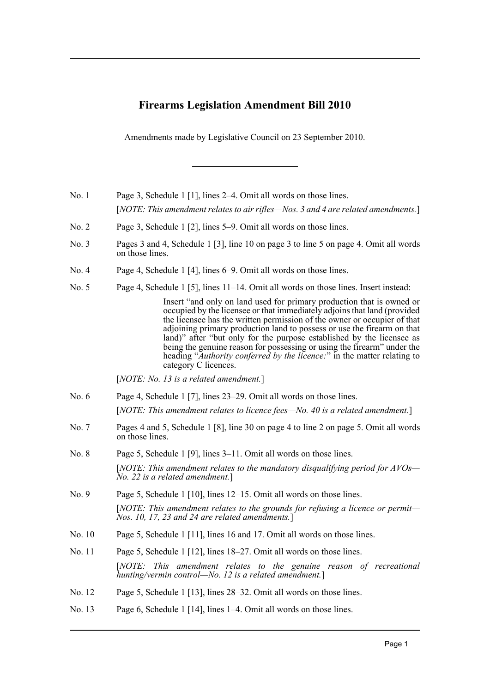## **Firearms Legislation Amendment Bill 2010**

Amendments made by Legislative Council on 23 September 2010.

- No. 1 Page 3, Schedule 1 [1], lines 2–4. Omit all words on those lines. [*NOTE: This amendment relates to air rifles—Nos. 3 and 4 are related amendments.*]
- No. 2 Page 3, Schedule 1 [2], lines 5–9. Omit all words on those lines.
- No. 3 Pages 3 and 4, Schedule 1 [3], line 10 on page 3 to line 5 on page 4. Omit all words on those lines.
- No. 4 Page 4, Schedule 1 [4], lines 6–9. Omit all words on those lines.
- No. 5 Page 4, Schedule 1 [5], lines 11–14. Omit all words on those lines. Insert instead:

Insert "and only on land used for primary production that is owned or occupied by the licensee or that immediately adjoins that land (provided the licensee has the written permission of the owner or occupier of that adjoining primary production land to possess or use the firearm on that land)" after "but only for the purpose established by the licensee as being the genuine reason for possessing or using the firearm" under the heading "*Authority conferred by the licence:*" in the matter relating to category C licences.

[*NOTE: No. 13 is a related amendment.*]

- No. 6 Page 4, Schedule 1 [7], lines 23–29. Omit all words on those lines. [*NOTE: This amendment relates to licence fees—No. 40 is a related amendment.*]
- No. 7 Pages 4 and 5, Schedule 1 [8], line 30 on page 4 to line 2 on page 5. Omit all words on those lines.
- No. 8 Page 5, Schedule 1 [9], lines 3–11. Omit all words on those lines. [*NOTE: This amendment relates to the mandatory disqualifying period for AVOs— No. 22 is a related amendment.*]
- No. 9 Page 5, Schedule 1 [10], lines 12–15. Omit all words on those lines. [*NOTE: This amendment relates to the grounds for refusing a licence or permit— Nos. 10, 17, 23 and 24 are related amendments.*]
- No. 10 Page 5, Schedule 1 [11], lines 16 and 17. Omit all words on those lines.
- No. 11 Page 5, Schedule 1 [12], lines 18–27. Omit all words on those lines. [*NOTE: This amendment relates to the genuine reason of recreational hunting/vermin control—No. 12 is a related amendment.*]
- No. 12 Page 5, Schedule 1 [13], lines 28–32. Omit all words on those lines.
- No. 13 Page 6, Schedule 1 [14], lines 1–4. Omit all words on those lines.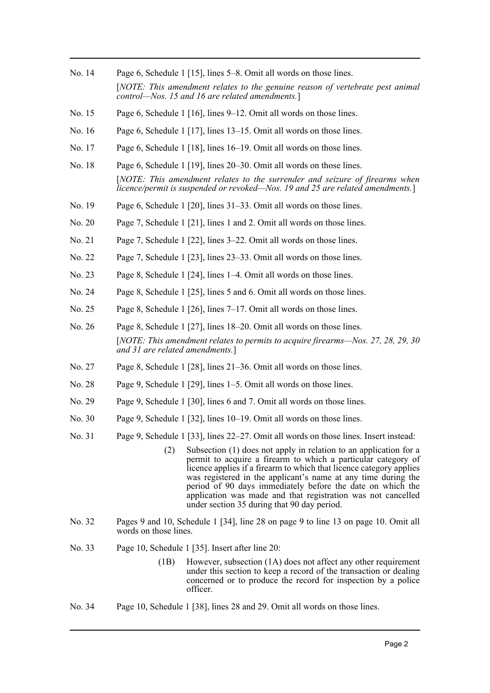- No. 14 Page 6, Schedule 1 [15], lines 5–8. Omit all words on those lines. [*NOTE: This amendment relates to the genuine reason of vertebrate pest animal control—Nos. 15 and 16 are related amendments.*]
- No. 15 Page 6, Schedule 1 [16], lines 9–12. Omit all words on those lines.
- No. 16 Page 6, Schedule 1 [17], lines 13–15. Omit all words on those lines.
- No. 17 Page 6, Schedule 1 [18], lines 16–19. Omit all words on those lines.
- No. 18 Page 6, Schedule 1 [19], lines 20–30. Omit all words on those lines. [*NOTE: This amendment relates to the surrender and seizure of firearms when licence/permit is suspended or revoked—Nos. 19 and 25 are related amendments.*]
- No. 19 Page 6, Schedule 1 [20], lines 31–33. Omit all words on those lines.
- No. 20 Page 7, Schedule 1 [21], lines 1 and 2. Omit all words on those lines.
- No. 21 Page 7, Schedule 1 [22], lines 3–22. Omit all words on those lines.
- No. 22 Page 7, Schedule 1 [23], lines 23–33. Omit all words on those lines.
- No. 23 Page 8, Schedule 1 [24], lines 1–4. Omit all words on those lines.
- No. 24 Page 8, Schedule 1 [25], lines 5 and 6. Omit all words on those lines.
- No. 25 Page 8, Schedule 1 [26], lines 7–17. Omit all words on those lines.
- No. 26 Page 8, Schedule 1 [27], lines 18–20. Omit all words on those lines. [*NOTE: This amendment relates to permits to acquire firearms—Nos. 27, 28, 29, 30 and 31 are related amendments.*]
- No. 27 Page 8, Schedule 1 [28], lines 21–36. Omit all words on those lines.
- No. 28 Page 9, Schedule 1 [29], lines 1–5. Omit all words on those lines.
- No. 29 Page 9, Schedule 1 [30], lines 6 and 7. Omit all words on those lines.
- No. 30 Page 9, Schedule 1 [32], lines 10–19. Omit all words on those lines.
- No. 31 Page 9, Schedule 1 [33], lines 22–27. Omit all words on those lines. Insert instead:
	- (2) Subsection (1) does not apply in relation to an application for a permit to acquire a firearm to which a particular category of licence applies if a firearm to which that licence category applies was registered in the applicant's name at any time during the period of 90 days immediately before the date on which the application was made and that registration was not cancelled under section 35 during that 90 day period.
- No. 32 Pages 9 and 10, Schedule 1 [34], line 28 on page 9 to line 13 on page 10. Omit all words on those lines.
- No. 33 Page 10, Schedule 1 [35]. Insert after line 20:
	- (1B) However, subsection (1A) does not affect any other requirement under this section to keep a record of the transaction or dealing concerned or to produce the record for inspection by a police officer.
- No. 34 Page 10, Schedule 1 [38], lines 28 and 29. Omit all words on those lines.